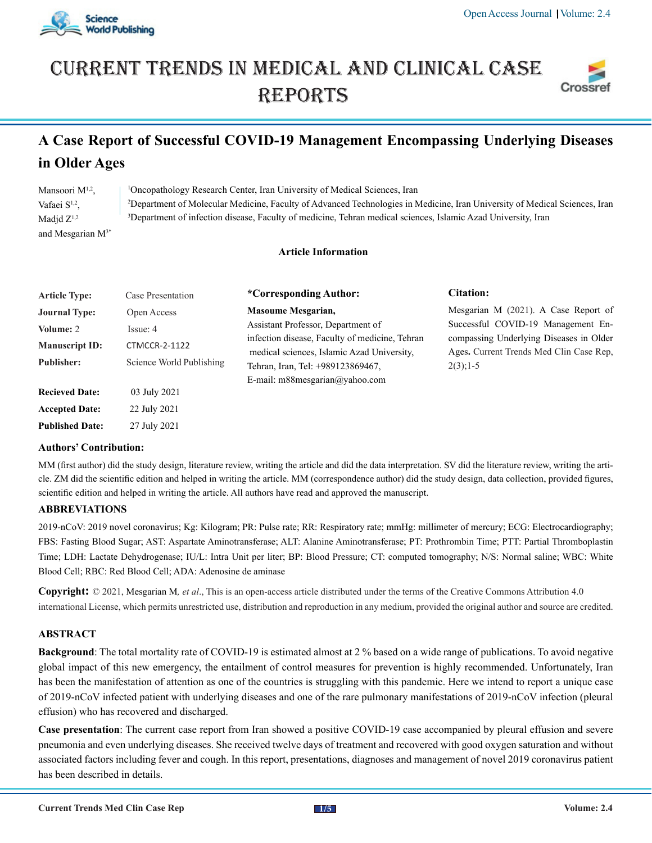

# Current trends in medical and Clinical case **REPORTS**



# **A Case Report of Successful COVID-19 Management Encompassing Underlying Diseases in Older Ages**

| Mansoori $M^{1,2}$ ,   | <sup>1</sup> Oncopathology Research Center, Iran University of Medical Sciences, Iran                                                  |
|------------------------|----------------------------------------------------------------------------------------------------------------------------------------|
| Vafaei $S^{1,2}$ .     | <sup>2</sup> Department of Molecular Medicine, Faculty of Advanced Technologies in Medicine, Iran University of Medical Sciences, Iran |
| Madid $Z^{1,2}$        | <sup>3</sup> Department of infection disease, Faculty of medicine, Tehran medical sciences, Islamic Azad University, Iran              |
| and Mesgarian $M^{3*}$ |                                                                                                                                        |

# **Article Information**

| <b>Article Type:</b>  | Case Presentation        | *Corresponding Author:                                                                       | Citation:                                                                                                                                |  |  |
|-----------------------|--------------------------|----------------------------------------------------------------------------------------------|------------------------------------------------------------------------------------------------------------------------------------------|--|--|
| <b>Journal Type:</b>  | Open Access              | <b>Masoume Mesgarian,</b>                                                                    | Mesgarian M (2021). A Case Report of                                                                                                     |  |  |
| Volume: 2             | Issue: 4                 | Assistant Professor, Department of                                                           | Successful COVID-19 Management En-<br>compassing Underlying Diseases in Older<br>Ages. Current Trends Med Clin Case Rep.<br>$2(3)$ ; 1-5 |  |  |
| <b>Manuscript ID:</b> | <b>CTMCCR-2-1122</b>     | infection disease, Faculty of medicine, Tehran<br>medical sciences, Islamic Azad University, |                                                                                                                                          |  |  |
| <b>Publisher:</b>     | Science World Publishing | Tehran, Iran, Tel: +989123869467,                                                            |                                                                                                                                          |  |  |
|                       |                          | E-mail: m88mesgarian@yahoo.com                                                               |                                                                                                                                          |  |  |
| <b>Recieved Date:</b> | 03 July 2021             |                                                                                              |                                                                                                                                          |  |  |
| <b>Accepted Date:</b> | 22 July 2021             |                                                                                              |                                                                                                                                          |  |  |

## **Authors' Contribution:**

**Published Date:** 27 July 2021

MM (first author) did the study design, literature review, writing the article and did the data interpretation. SV did the literature review, writing the article. ZM did the scientific edition and helped in writing the article. MM (correspondence author) did the study design, data collection, provided figures, scientific edition and helped in writing the article. All authors have read and approved the manuscript.

# **ABBREVIATIONS**

2019-nCoV: 2019 novel coronavirus; Kg: Kilogram; PR: Pulse rate; RR: Respiratory rate; mmHg: millimeter of mercury; ECG: Electrocardiography; FBS: Fasting Blood Sugar; AST: Aspartate Aminotransferase; ALT: Alanine Aminotransferase; PT: Prothrombin Time; PTT: Partial Thromboplastin Time; LDH: Lactate Dehydrogenase; IU/L: Intra Unit per liter; BP: Blood Pressure; CT: computed tomography; N/S: Normal saline; WBC: White Blood Cell; RBC: Red Blood Cell; ADA: Adenosine de aminase

**Copyright:** © 2021, Mesgarian M*, et al*., This is an open-access article distributed under the terms of the Creative Commons Attribution 4.0 international License, which permits unrestricted use, distribution and reproduction in any medium, provided the original author and source are credited.

## **ABSTRACT**

**Background**: The total mortality rate of COVID-19 is estimated almost at 2 % based on a wide range of publications. To avoid negative global impact of this new emergency, the entailment of control measures for prevention is highly recommended. Unfortunately, Iran has been the manifestation of attention as one of the countries is struggling with this pandemic. Here we intend to report a unique case of 2019-nCoV infected patient with underlying diseases and one of the rare pulmonary manifestations of 2019-nCoV infection (pleural effusion) who has recovered and discharged.

**Case presentation**: The current case report from Iran showed a positive COVID-19 case accompanied by pleural effusion and severe pneumonia and even underlying diseases. She received twelve days of treatment and recovered with good oxygen saturation and without associated factors including fever and cough. In this report, presentations, diagnoses and management of novel 2019 coronavirus patient has been described in details.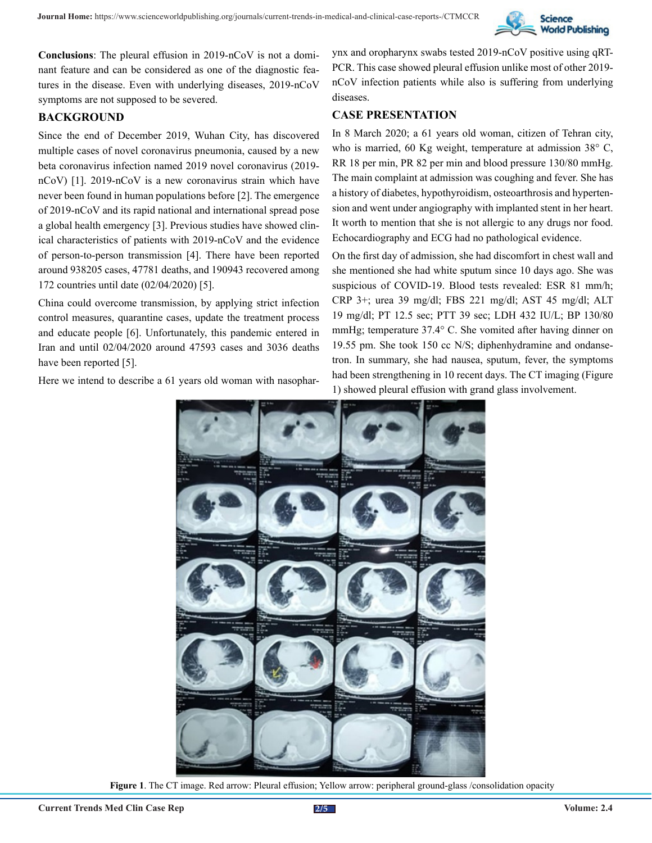

**Conclusions**: The pleural effusion in 2019-nCoV is not a dominant feature and can be considered as one of the diagnostic features in the disease. Even with underlying diseases, 2019-nCoV symptoms are not supposed to be severed.

# **BACKGROUND**

Since the end of December 2019, Wuhan City, has discovered multiple cases of novel coronavirus pneumonia, caused by a new beta coronavirus infection named 2019 novel coronavirus (2019 nCoV) [1]. 2019-nCoV is a new coronavirus strain which have never been found in human populations before [2]. The emergence of 2019-nCoV and its rapid national and international spread pose a global health emergency [3]. Previous studies have showed clinical characteristics of patients with 2019-nCoV and the evidence of person-to-person transmission [4]. There have been reported around 938205 cases, 47781 deaths, and 190943 recovered among 172 countries until date (02/04/2020) [5].

China could overcome transmission, by applying strict infection control measures, quarantine cases, update the treatment process and educate people [6]. Unfortunately, this pandemic entered in Iran and until 02/04/2020 around 47593 cases and 3036 deaths have been reported [5].

Here we intend to describe a 61 years old woman with nasophar-

ynx and oropharynx swabs tested 2019-nCoV positive using qRT-PCR. This case showed pleural effusion unlike most of other 2019 nCoV infection patients while also is suffering from underlying diseases.

# **CASE PRESENTATION**

In 8 March 2020; a 61 years old woman, citizen of Tehran city, who is married, 60 Kg weight, temperature at admission 38° C, RR 18 per min, PR 82 per min and blood pressure 130/80 mmHg. The main complaint at admission was coughing and fever. She has a history of diabetes, hypothyroidism, osteoarthrosis and hypertension and went under angiography with implanted stent in her heart. It worth to mention that she is not allergic to any drugs nor food. Echocardiography and ECG had no pathological evidence.

On the first day of admission, she had discomfort in chest wall and she mentioned she had white sputum since 10 days ago. She was suspicious of COVID-19. Blood tests revealed: ESR 81 mm/h; CRP 3+; urea 39 mg/dl; FBS 221 mg/dl; AST 45 mg/dl; ALT 19 mg/dl; PT 12.5 sec; PTT 39 sec; LDH 432 IU/L; BP 130/80 mmHg; temperature 37.4° C. She vomited after having dinner on 19.55 pm. She took 150 cc N/S; diphenhydramine and ondansetron. In summary, she had nausea, sputum, fever, the symptoms had been strengthening in 10 recent days. The CT imaging (Figure 1) showed pleural effusion with grand glass involvement.



**Figure 1**. The CT image. Red arrow: Pleural effusion; Yellow arrow: peripheral ground-glass /consolidation opacity

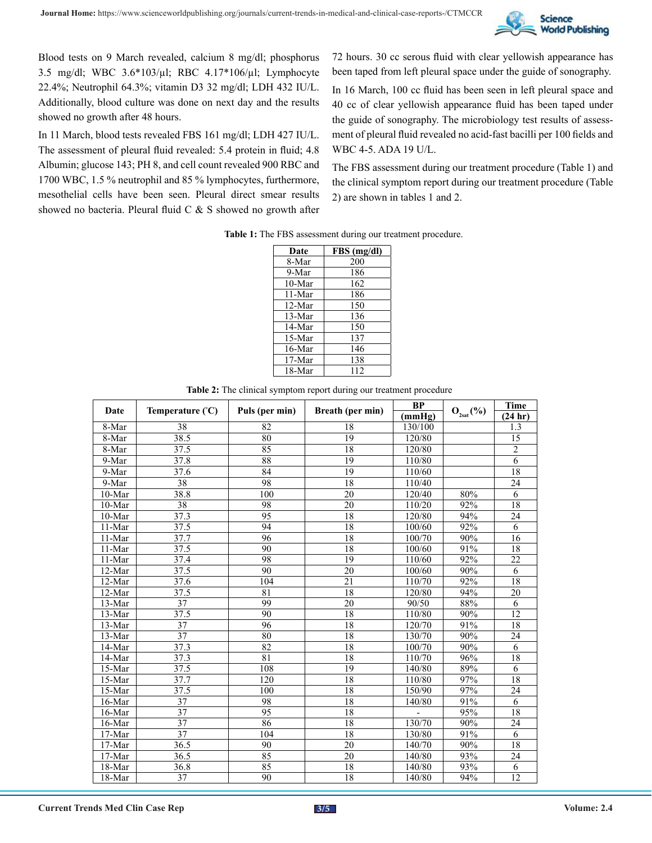

Blood tests on 9 March revealed, calcium 8 mg/dl; phosphorus 3.5 mg/dl; WBC 3.6\*103/µl; RBC 4.17\*106/µl; Lymphocyte 22.4%; Neutrophil 64.3%; vitamin D3 32 mg/dl; LDH 432 IU/L. Additionally, blood culture was done on next day and the results showed no growth after 48 hours.

In 11 March, blood tests revealed FBS 161 mg/dl; LDH 427 IU/L. The assessment of pleural fluid revealed: 5.4 protein in fluid; 4.8 Albumin; glucose 143; PH 8, and cell count revealed 900 RBC and 1700 WBC, 1.5 % neutrophil and 85 % lymphocytes, furthermore, mesothelial cells have been seen. Pleural direct smear results showed no bacteria. Pleural fluid C & S showed no growth after 72 hours. 30 cc serous fluid with clear yellowish appearance has been taped from left pleural space under the guide of sonography.

In 16 March, 100 cc fluid has been seen in left pleural space and 40 cc of clear yellowish appearance fluid has been taped under the guide of sonography. The microbiology test results of assessment of pleural fluid revealed no acid-fast bacilli per 100 fields and WBC 4-5. ADA 19 U/L.

The FBS assessment during our treatment procedure (Table 1) and the clinical symptom report during our treatment procedure (Table 2) are shown in tables 1 and 2.

| Table 1: The FBS assessment during our treatment procedure. |  |  |
|-------------------------------------------------------------|--|--|
|-------------------------------------------------------------|--|--|

| Date     | $FBS$ (mg/dl) |
|----------|---------------|
| 8-Mar    | 200           |
| 9-Mar    | 186           |
| 10-Mar   | 162           |
| 11-Mar   | 186           |
| $12-Mar$ | 150           |
| $13-Mar$ | 136           |
| 14-Mar   | 150           |
| 15-Mar   | 137           |
| 16-Mar   | 146           |
| 17-Mar   | 138           |
| 18-Mar   | 112           |

| Date     | Temperature $({}^{\circ}C)$ | Puls (per min)  | Breath (per min) | <b>BP</b> | $\mathbf{O}_{\mathsf{2sat}}(\mathsf{%})$ | <b>Time</b>    |
|----------|-----------------------------|-----------------|------------------|-----------|------------------------------------------|----------------|
|          |                             |                 |                  | (mmHg)    |                                          | (24 hr)        |
| 8-Mar    | 38                          | 82              | 18               | 130/100   |                                          | 1.3            |
| 8-Mar    | 38.5                        | 80              | 19               | 120/80    |                                          | 15             |
| 8-Mar    | 37.5                        | 85              | 18               | 120/80    |                                          | $\overline{2}$ |
| 9-Mar    | 37.8                        | 88              | 19               | 110/80    |                                          | 6              |
| 9-Mar    | 37.6                        | 84              | 19               | 110/60    |                                          | 18             |
| 9-Mar    | 38                          | 98              | 18               | 110/40    |                                          | 24             |
| 10-Mar   | 38.8                        | 100             | 20               | 120/40    | 80%                                      | 6              |
| 10-Mar   | 38                          | 98              | 20               | 110/20    | 92%                                      | 18             |
| 10-Mar   | 37.3                        | 95              | 18               | 120/80    | 94%                                      | 24             |
| 11-Mar   | 37.5                        | 94              | 18               | 100/60    | 92%                                      | 6              |
| 11-Mar   | 37.7                        | 96              | 18               | 100/70    | 90%                                      | 16             |
| 11-Mar   | 37.5                        | 90              | 18               | 100/60    | 91%                                      | 18             |
| 11-Mar   | 37.4                        | 98              | 19               | 110/60    | 92%                                      | 22             |
| $12-Mar$ | 37.5                        | 90              | 20               | 100/60    | 90%                                      | 6              |
| 12-Mar   | 37.6                        | 104             | 21               | 110/70    | 92%                                      | 18             |
| 12-Mar   | 37.5                        | 81              | 18               | 120/80    | 94%                                      | 20             |
| 13-Mar   | 37                          | 99              | 20               | 90/50     | 88%                                      | 6              |
| 13-Mar   | 37.5                        | 90              | 18               | 110/80    | 90%                                      | 12             |
| $13-Mar$ | 37                          | 96              | 18               | 120/70    | 91%                                      | 18             |
| 13-Mar   | $\overline{37}$             | 80              | 18               | 130/70    | 90%                                      | 24             |
| 14-Mar   | 37.3                        | 82              | 18               | 100/70    | 90%                                      | 6              |
| $14-Mar$ | 37.3                        | 81              | 18               | 110/70    | 96%                                      | 18             |
| 15-Mar   | 37.5                        | 108             | 19               | 140/80    | 89%                                      | 6              |
| 15-Mar   | 37.7                        | 120             | 18               | 110/80    | 97%                                      | 18             |
| 15-Mar   | 37.5                        | 100             | 18               | 150/90    | 97%                                      | 24             |
| 16-Mar   | 37                          | 98              | 18               | 140/80    | 91%                                      | 6              |
| 16-Mar   | 37                          | 95              | 18               |           | 95%                                      | 18             |
| 16-Mar   | $\overline{37}$             | $\overline{86}$ | $\overline{18}$  | 130/70    | 90%                                      | 24             |
| 17-Mar   | $\overline{37}$             | 104             | 18               | 130/80    | 91%                                      | 6              |
| 17-Mar   | 36.5                        | 90              | 20               | 140/70    | 90%                                      | 18             |
| 17-Mar   | 36.5                        | 85              | 20               | 140/80    | 93%                                      | 24             |
| 18-Mar   | 36.8                        | 85              | 18               | 140/80    | 93%                                      | 6              |
| 18-Mar   | $\overline{37}$             | 90              | 18               | 140/80    | 94%                                      | 12             |

**Table 2:** The clinical symptom report during our treatment procedure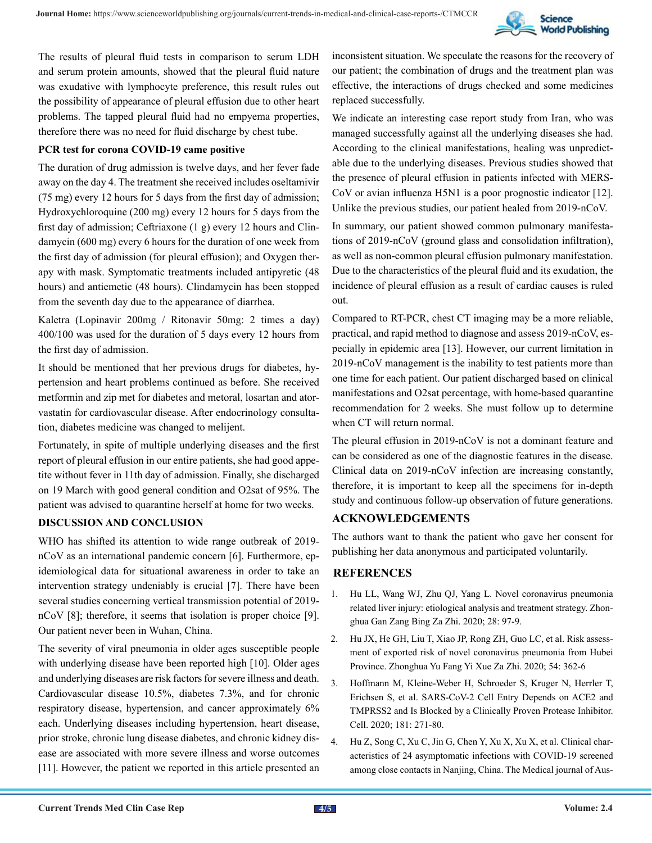

The results of pleural fluid tests in comparison to serum LDH and serum protein amounts, showed that the pleural fluid nature was exudative with lymphocyte preference, this result rules out the possibility of appearance of pleural effusion due to other heart problems. The tapped pleural fluid had no empyema properties, therefore there was no need for fluid discharge by chest tube.

#### **PCR test for corona COVID-19 came positive**

The duration of drug admission is twelve days, and her fever fade away on the day 4. The treatment she received includes oseltamivir (75 mg) every 12 hours for 5 days from the first day of admission; Hydroxychloroquine (200 mg) every 12 hours for 5 days from the first day of admission; Ceftriaxone (1 g) every 12 hours and Clindamycin (600 mg) every 6 hours for the duration of one week from the first day of admission (for pleural effusion); and Oxygen therapy with mask. Symptomatic treatments included antipyretic (48 hours) and antiemetic (48 hours). Clindamycin has been stopped from the seventh day due to the appearance of diarrhea.

Kaletra (Lopinavir 200mg / Ritonavir 50mg: 2 times a day) 400/100 was used for the duration of 5 days every 12 hours from the first day of admission.

It should be mentioned that her previous drugs for diabetes, hypertension and heart problems continued as before. She received metformin and zip met for diabetes and metoral, losartan and atorvastatin for cardiovascular disease. After endocrinology consultation, diabetes medicine was changed to melijent.

Fortunately, in spite of multiple underlying diseases and the first report of pleural effusion in our entire patients, she had good appetite without fever in 11th day of admission. Finally, she discharged on 19 March with good general condition and O2sat of 95%. The patient was advised to quarantine herself at home for two weeks.

#### **DISCUSSION AND CONCLUSION**

WHO has shifted its attention to wide range outbreak of 2019 nCoV as an international pandemic concern [6]. Furthermore, epidemiological data for situational awareness in order to take an intervention strategy undeniably is crucial [7]. There have been several studies concerning vertical transmission potential of 2019 nCoV [8]; therefore, it seems that isolation is proper choice [9]. Our patient never been in Wuhan, China.

The severity of viral pneumonia in older ages susceptible people with underlying disease have been reported high [10]. Older ages and underlying diseases are risk factors for severe illness and death. Cardiovascular disease 10.5%, diabetes 7.3%, and for chronic respiratory disease, hypertension, and cancer approximately 6% each. Underlying diseases including hypertension, heart disease, prior stroke, chronic lung disease diabetes, and chronic kidney disease are associated with more severe illness and worse outcomes [11]. However, the patient we reported in this article presented an

inconsistent situation. We speculate the reasons for the recovery of our patient; the combination of drugs and the treatment plan was effective, the interactions of drugs checked and some medicines replaced successfully.

We indicate an interesting case report study from Iran, who was managed successfully against all the underlying diseases she had. According to the clinical manifestations, healing was unpredictable due to the underlying diseases. Previous studies showed that the presence of pleural effusion in patients infected with MERS-CoV or avian influenza H5N1 is a poor prognostic indicator [12]. Unlike the previous studies, our patient healed from 2019-nCoV.

In summary, our patient showed common pulmonary manifestations of 2019-nCoV (ground glass and consolidation infiltration), as well as non-common pleural effusion pulmonary manifestation. Due to the characteristics of the pleural fluid and its exudation, the incidence of pleural effusion as a result of cardiac causes is ruled out.

Compared to RT-PCR, chest CT imaging may be a more reliable, practical, and rapid method to diagnose and assess 2019-nCoV, especially in epidemic area [13]. However, our current limitation in 2019-nCoV management is the inability to test patients more than one time for each patient. Our patient discharged based on clinical manifestations and O2sat percentage, with home-based quarantine recommendation for 2 weeks. She must follow up to determine when CT will return normal.

The pleural effusion in 2019-nCoV is not a dominant feature and can be considered as one of the diagnostic features in the disease. Clinical data on 2019-nCoV infection are increasing constantly, therefore, it is important to keep all the specimens for in-depth study and continuous follow-up observation of future generations.

## **ACKNOWLEDGEMENTS**

The authors want to thank the patient who gave her consent for publishing her data anonymous and participated voluntarily.

## **REFERENCES**

- 1. [Hu LL, Wang WJ, Zhu QJ, Yang L. Novel coronavirus pneumonia](https://pubmed.ncbi.nlm.nih.gov/32075364/) [related liver injury: etiological analysis and treatment strategy. Zhon](https://pubmed.ncbi.nlm.nih.gov/32075364/)[ghua Gan Zang Bing Za Zhi. 2020; 28: 97-9.](https://pubmed.ncbi.nlm.nih.gov/32075364/)
- 2. [Hu JX, He GH, Liu T, Xiao JP, Rong ZH, Guo LC, et al. Risk assess](https://pubmed.ncbi.nlm.nih.gov/32083409/)[ment of exported risk of novel coronavirus pneumonia from Hubei](https://pubmed.ncbi.nlm.nih.gov/32083409/) [Province. Zhonghua Yu Fang Yi Xue Za Zhi. 2020; 54: 362-6](https://pubmed.ncbi.nlm.nih.gov/32083409/)
- 3. [Hoffmann M, Kleine-Weber H, Schroeder S, Kruger N, Herrler T,](https://pubmed.ncbi.nlm.nih.gov/32142651/) [Erichsen S, et al. SARS-CoV-2 Cell Entry Depends on ACE2 and](https://pubmed.ncbi.nlm.nih.gov/32142651/) [TMPRSS2 and Is Blocked by a Clinically Proven Protease Inhibitor.](https://pubmed.ncbi.nlm.nih.gov/32142651/) [Cell. 2020; 181: 271-80.](https://pubmed.ncbi.nlm.nih.gov/32142651/)
- 4. [Hu Z, Song C, Xu C, Jin G, Chen Y, Xu X, Xu X, et al. Clinical char](https://pubmed.ncbi.nlm.nih.gov/32146694/)[acteristics of 24 asymptomatic infections with COVID-19 screened](https://pubmed.ncbi.nlm.nih.gov/32146694/) [among close contacts in Nanjing, China. The Medical journal of Aus-](https://pubmed.ncbi.nlm.nih.gov/32146694/)